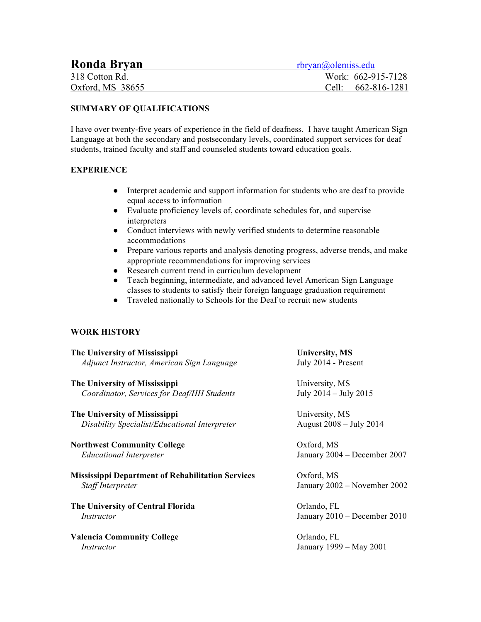| <b>Ronda Bryan</b> | rbryan@olemiss.edu |
|--------------------|--------------------|
| 318 Cotton Rd.     | Work: 662-915-7128 |
| Oxford, $MS$ 38655 | Cell: 662-816-1281 |

## **SUMMARY OF QUALIFICATIONS**

I have over twenty-five years of experience in the field of deafness. I have taught American Sign Language at both the secondary and postsecondary levels, coordinated support services for deaf students, trained faculty and staff and counseled students toward education goals.

## **EXPERIENCE**

- Interpret academic and support information for students who are deaf to provide equal access to information
- Evaluate proficiency levels of, coordinate schedules for, and supervise interpreters
- Conduct interviews with newly verified students to determine reasonable accommodations
- Prepare various reports and analysis denoting progress, adverse trends, and make appropriate recommendations for improving services
- Research current trend in curriculum development
- Teach beginning, intermediate, and advanced level American Sign Language classes to students to satisfy their foreign language graduation requirement
- Traveled nationally to Schools for the Deaf to recruit new students

## **WORK HISTORY**

| The University of Mississippi                            | <b>University, MS</b>        |  |
|----------------------------------------------------------|------------------------------|--|
| Adjunct Instructor, American Sign Language               | July 2014 - Present          |  |
| The University of Mississippi                            | University, MS               |  |
| Coordinator, Services for Deaf/HH Students               | July 2014 – July 2015        |  |
| The University of Mississippi                            | University, MS               |  |
| Disability Specialist/Educational Interpreter            | August 2008 – July 2014      |  |
| <b>Northwest Community College</b>                       | Oxford, MS                   |  |
| <b>Educational Interpreter</b>                           | January 2004 – December 2007 |  |
| <b>Mississippi Department of Rehabilitation Services</b> | Oxford, MS                   |  |
| Staff Interpreter                                        | January 2002 – November 2002 |  |
| The University of Central Florida                        | Orlando, FL                  |  |
| <i>Instructor</i>                                        | January 2010 - December 2010 |  |
| <b>Valencia Community College</b>                        | Orlando, FL                  |  |
| Instructor                                               | January 1999 - May 2001      |  |